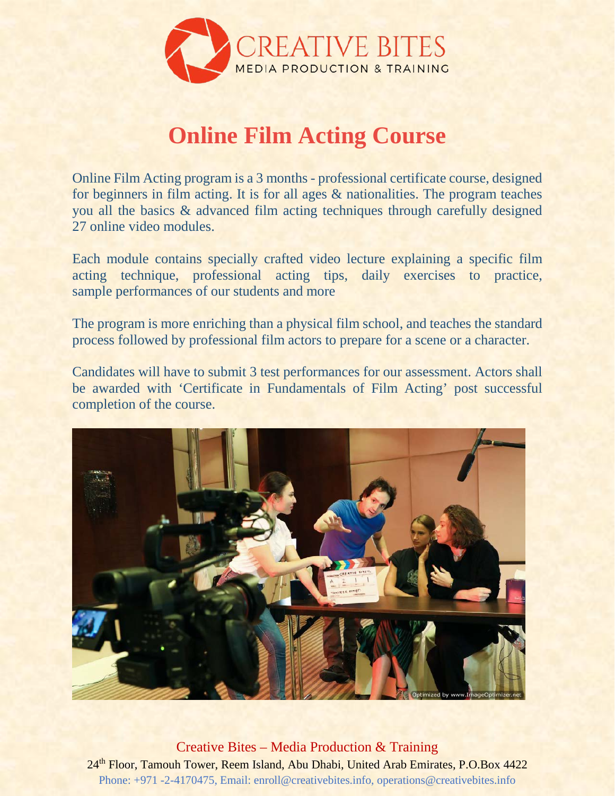

# **Online Film Acting Course**

Online Film Acting program is a 3 months - professional certificate course, designed for beginners in film acting. It is for all ages & nationalities. The program teaches you all the basics & advanced film acting techniques through carefully designed 27 online video modules.

Each module contains specially crafted video lecture explaining a specific film acting technique, professional acting tips, daily exercises to practice, sample performances of our students and more

The program is more enriching than a physical film school, and teaches the standard process followed by professional film actors to prepare for a scene or a character.

Candidates will have to submit 3 test performances for our assessment. Actors shall be awarded with 'Certificate in Fundamentals of Film Acting' post successful completion of the course.



Creative Bites – Media Production & Training 24<sup>th</sup> Floor, Tamouh Tower, Reem Island, Abu Dhabi, United Arab Emirates, P.O.Box 4422 Phone: +971 -2-4170475, Email: enroll@creativebites.info, operations@creativebites.info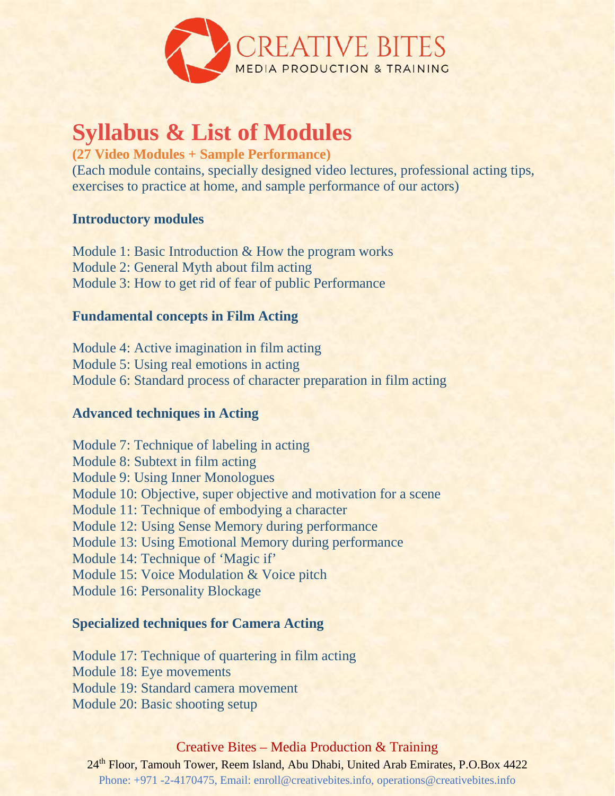

### **Syllabus & List of Modules**

**(27 Video Modules + Sample Performance)**

(Each module contains, specially designed video lectures, professional acting tips, exercises to practice at home, and sample performance of our actors)

#### **Introductory modules**

Module 1: Basic Introduction & How the program works Module 2: General Myth about film acting Module 3: How to get rid of fear of public Performance

#### **Fundamental concepts in Film Acting**

Module 4: Active imagination in film acting Module 5: Using real emotions in acting Module 6: Standard process of character preparation in film acting

### **Advanced techniques in Acting**

Module 7: Technique of labeling in acting Module 8: Subtext in film acting Module 9: Using Inner Monologues Module 10: Objective, super objective and motivation for a scene Module 11: Technique of embodying a character Module 12: Using Sense Memory during performance Module 13: Using Emotional Memory during performance Module 14: Technique of 'Magic if' Module 15: Voice Modulation & Voice pitch Module 16: Personality Blockage

#### **Specialized techniques for Camera Acting**

Module 17: Technique of quartering in film acting Module 18: Eye movements Module 19: Standard camera movement Module 20: Basic shooting setup

#### Creative Bites – Media Production & Training

24<sup>th</sup> Floor, Tamouh Tower, Reem Island, Abu Dhabi, United Arab Emirates, P.O.Box 4422 Phone: +971 -2-4170475, Email: enroll@creativebites.info, operations@creativebites.info